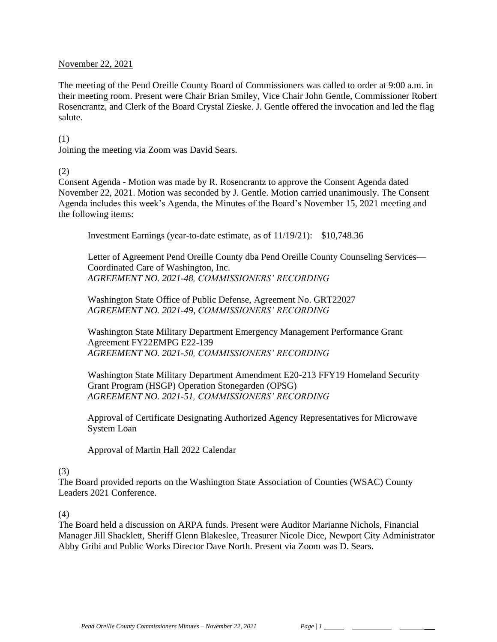#### November 22, 2021

The meeting of the Pend Oreille County Board of Commissioners was called to order at 9:00 a.m. in their meeting room. Present were Chair Brian Smiley, Vice Chair John Gentle, Commissioner Robert Rosencrantz, and Clerk of the Board Crystal Zieske. J. Gentle offered the invocation and led the flag salute.

#### (1)

Joining the meeting via Zoom was David Sears.

### (2)

Consent Agenda - Motion was made by R. Rosencrantz to approve the Consent Agenda dated November 22, 2021. Motion was seconded by J. Gentle. Motion carried unanimously. The Consent Agenda includes this week's Agenda, the Minutes of the Board's November 15, 2021 meeting and the following items:

Investment Earnings (year-to-date estimate, as of 11/19/21): \$10,748.36

Letter of Agreement Pend Oreille County dba Pend Oreille County Counseling Services— Coordinated Care of Washington, Inc. *AGREEMENT NO. 2021-48, COMMISSIONERS' RECORDING*

Washington State Office of Public Defense, Agreement No. GRT22027 *AGREEMENT NO. 2021-49, COMMISSIONERS' RECORDING*

Washington State Military Department Emergency Management Performance Grant Agreement FY22EMPG E22-139 *AGREEMENT NO. 2021-50, COMMISSIONERS' RECORDING*

Washington State Military Department Amendment E20-213 FFY19 Homeland Security Grant Program (HSGP) Operation Stonegarden (OPSG) *AGREEMENT NO. 2021-51, COMMISSIONERS' RECORDING*

Approval of Certificate Designating Authorized Agency Representatives for Microwave System Loan

Approval of Martin Hall 2022 Calendar

# (3)

The Board provided reports on the Washington State Association of Counties (WSAC) County Leaders 2021 Conference.

#### (4)

The Board held a discussion on ARPA funds. Present were Auditor Marianne Nichols, Financial Manager Jill Shacklett, Sheriff Glenn Blakeslee, Treasurer Nicole Dice, Newport City Administrator Abby Gribi and Public Works Director Dave North. Present via Zoom was D. Sears.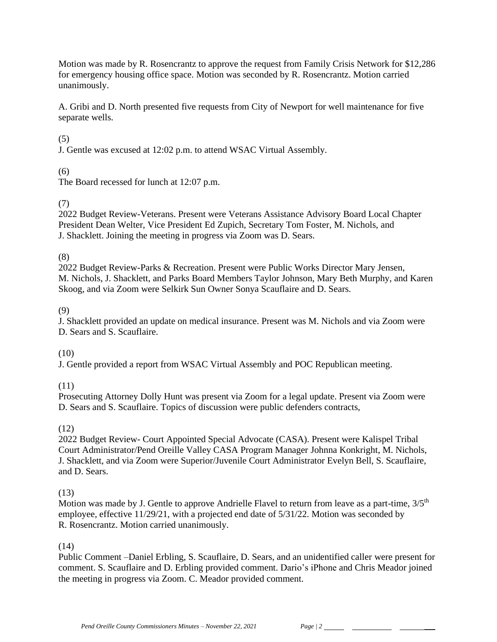Motion was made by R. Rosencrantz to approve the request from Family Crisis Network for \$12,286 for emergency housing office space. Motion was seconded by R. Rosencrantz. Motion carried unanimously.

A. Gribi and D. North presented five requests from City of Newport for well maintenance for five separate wells.

# (5)

J. Gentle was excused at 12:02 p.m. to attend WSAC Virtual Assembly.

# (6)

The Board recessed for lunch at 12:07 p.m.

# (7)

2022 Budget Review-Veterans. Present were Veterans Assistance Advisory Board Local Chapter President Dean Welter, Vice President Ed Zupich, Secretary Tom Foster, M. Nichols, and J. Shacklett. Joining the meeting in progress via Zoom was D. Sears.

(8)

2022 Budget Review-Parks & Recreation. Present were Public Works Director Mary Jensen, M. Nichols, J. Shacklett, and Parks Board Members Taylor Johnson, Mary Beth Murphy, and Karen Skoog, and via Zoom were Selkirk Sun Owner Sonya Scauflaire and D. Sears.

# (9)

J. Shacklett provided an update on medical insurance. Present was M. Nichols and via Zoom were D. Sears and S. Scauflaire.

# (10)

J. Gentle provided a report from WSAC Virtual Assembly and POC Republican meeting.

(11)

Prosecuting Attorney Dolly Hunt was present via Zoom for a legal update. Present via Zoom were D. Sears and S. Scauflaire. Topics of discussion were public defenders contracts,

# (12)

2022 Budget Review- Court Appointed Special Advocate (CASA). Present were Kalispel Tribal Court Administrator/Pend Oreille Valley CASA Program Manager Johnna Konkright, M. Nichols, J. Shacklett, and via Zoom were Superior/Juvenile Court Administrator Evelyn Bell, S. Scauflaire, and D. Sears.

# (13)

Motion was made by J. Gentle to approve Andrielle Flavel to return from leave as a part-time,  $3/5<sup>th</sup>$ employee, effective 11/29/21, with a projected end date of 5/31/22. Motion was seconded by R. Rosencrantz. Motion carried unanimously.

# (14)

Public Comment –Daniel Erbling, S. Scauflaire, D. Sears, and an unidentified caller were present for comment. S. Scauflaire and D. Erbling provided comment. Dario's iPhone and Chris Meador joined the meeting in progress via Zoom. C. Meador provided comment.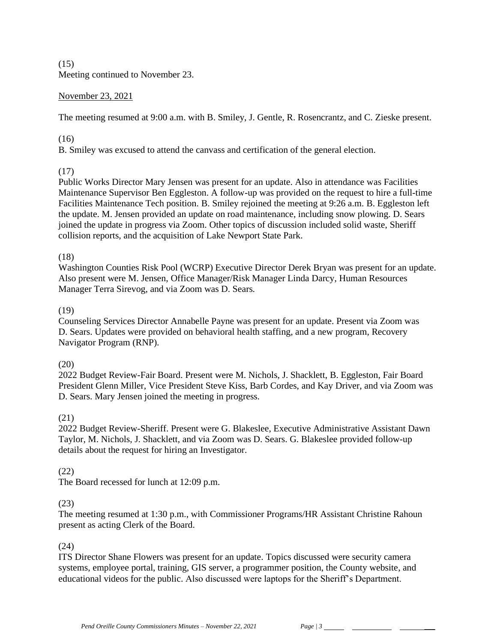$(15)$ Meeting continued to November 23.

### November 23, 2021

The meeting resumed at 9:00 a.m. with B. Smiley, J. Gentle, R. Rosencrantz, and C. Zieske present.

### (16)

B. Smiley was excused to attend the canvass and certification of the general election.

# (17)

Public Works Director Mary Jensen was present for an update. Also in attendance was Facilities Maintenance Supervisor Ben Eggleston. A follow-up was provided on the request to hire a full-time Facilities Maintenance Tech position. B. Smiley rejoined the meeting at 9:26 a.m. B. Eggleston left the update. M. Jensen provided an update on road maintenance, including snow plowing. D. Sears joined the update in progress via Zoom. Other topics of discussion included solid waste, Sheriff collision reports, and the acquisition of Lake Newport State Park.

# (18)

Washington Counties Risk Pool (WCRP) Executive Director Derek Bryan was present for an update. Also present were M. Jensen, Office Manager/Risk Manager Linda Darcy, Human Resources Manager Terra Sirevog, and via Zoom was D. Sears.

### (19)

Counseling Services Director Annabelle Payne was present for an update. Present via Zoom was D. Sears. Updates were provided on behavioral health staffing, and a new program, Recovery Navigator Program (RNP).

# (20)

2022 Budget Review-Fair Board. Present were M. Nichols, J. Shacklett, B. Eggleston, Fair Board President Glenn Miller, Vice President Steve Kiss, Barb Cordes, and Kay Driver, and via Zoom was D. Sears. Mary Jensen joined the meeting in progress.

# (21)

2022 Budget Review-Sheriff. Present were G. Blakeslee, Executive Administrative Assistant Dawn Taylor, M. Nichols, J. Shacklett, and via Zoom was D. Sears. G. Blakeslee provided follow-up details about the request for hiring an Investigator.

# (22)

The Board recessed for lunch at 12:09 p.m.

#### (23)

The meeting resumed at 1:30 p.m., with Commissioner Programs/HR Assistant Christine Rahoun present as acting Clerk of the Board.

# (24)

ITS Director Shane Flowers was present for an update. Topics discussed were security camera systems, employee portal, training, GIS server, a programmer position, the County website, and educational videos for the public. Also discussed were laptops for the Sheriff's Department.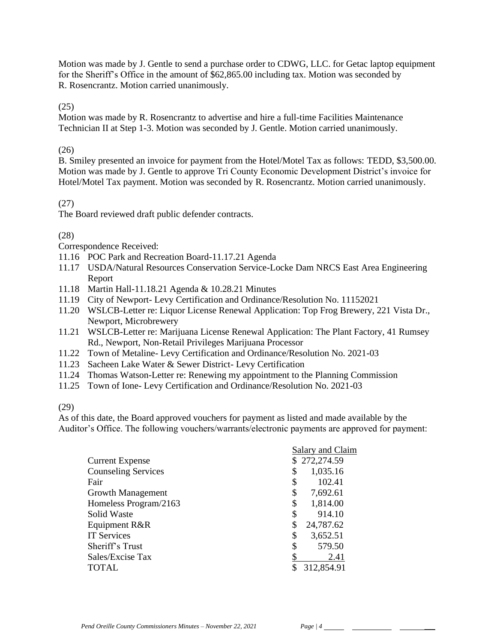Motion was made by J. Gentle to send a purchase order to CDWG, LLC. for Getac laptop equipment for the Sheriff's Office in the amount of \$62,865.00 including tax. Motion was seconded by R. Rosencrantz. Motion carried unanimously.

(25)

Motion was made by R. Rosencrantz to advertise and hire a full-time Facilities Maintenance Technician II at Step 1-3. Motion was seconded by J. Gentle. Motion carried unanimously.

### (26)

B. Smiley presented an invoice for payment from the Hotel/Motel Tax as follows: TEDD, \$3,500.00. Motion was made by J. Gentle to approve Tri County Economic Development District's invoice for Hotel/Motel Tax payment. Motion was seconded by R. Rosencrantz. Motion carried unanimously.

# (27)

The Board reviewed draft public defender contracts.

### (28)

Correspondence Received:

- 11.16 POC Park and Recreation Board-11.17.21 Agenda
- 11.17 USDA/Natural Resources Conservation Service-Locke Dam NRCS East Area Engineering Report
- 11.18 Martin Hall-11.18.21 Agenda & 10.28.21 Minutes
- 11.19 City of Newport- Levy Certification and Ordinance/Resolution No. 11152021
- 11.20 WSLCB-Letter re: Liquor License Renewal Application: Top Frog Brewery, 221 Vista Dr., Newport, Microbrewery
- 11.21 WSLCB-Letter re: Marijuana License Renewal Application: The Plant Factory, 41 Rumsey Rd., Newport, Non-Retail Privileges Marijuana Processor
- 11.22 Town of Metaline- Levy Certification and Ordinance/Resolution No. 2021-03
- 11.23 Sacheen Lake Water & Sewer District- Levy Certification
- 11.24 Thomas Watson-Letter re: Renewing my appointment to the Planning Commission
- 11.25 Town of Ione- Levy Certification and Ordinance/Resolution No. 2021-03

(29)

As of this date, the Board approved vouchers for payment as listed and made available by the Auditor's Office. The following vouchers/warrants/electronic payments are approved for payment:

|                            | Salary and Claim |
|----------------------------|------------------|
| <b>Current Expense</b>     | \$272,274.59     |
| <b>Counseling Services</b> | 1,035.16<br>\$   |
| Fair                       | 102.41<br>\$     |
| Growth Management          | \$<br>7,692.61   |
| Homeless Program/2163      | 1,814.00<br>\$   |
| Solid Waste                | 914.10<br>\$     |
| Equipment R&R              | 24,787.62<br>\$  |
| <b>IT Services</b>         | 3,652.51<br>\$   |
| Sheriff's Trust            | 579.50<br>\$     |
| Sales/Excise Tax           | 2.41             |
| <b>TOTAL</b>               | 312,854.91<br>\$ |
|                            |                  |